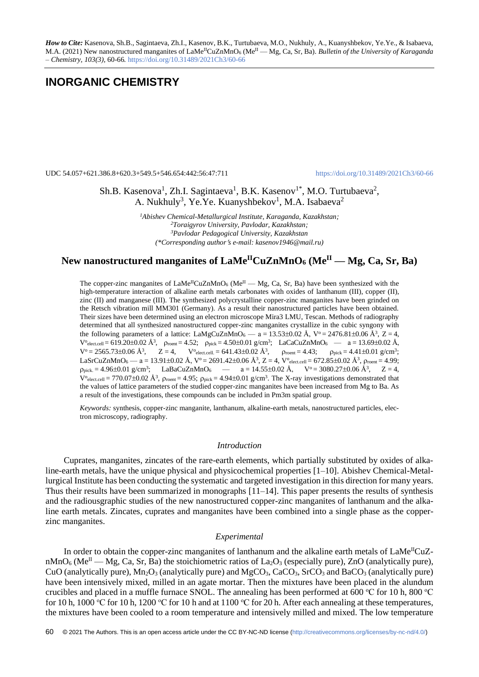*How to Cite:* Kasenova, Sh.B., Sagintaeva, Zh.I., Kasenov, B.K., Turtubaeva, M.O., Nukhuly, А., Kuanyshbekov, Ye.Ye., & Isabaeva, M.A. (2021) New nanostructured manganites of LaMe<sup>II</sup>CuZnMnO<sub>6</sub> (Me<sup>II</sup> — Mg, Ca, Sr, Ba). *Bulletin of the University of Karaganda – Chemistry, 103(3),* 60-66*.* <https://doi.org/10.31489/2021Ch3/60-66>

# **INORGANIC CHEMISTRY**

UDC 54.057+621.386.8+620.3+549.5+546.654:442:56:47:711 <https://doi.org/10.31489/2021Ch3/60-66>

Sh.B. Kasenova<sup>1</sup>, Zh.I. Sagintaeva<sup>1</sup>, B.K. Kasenov<sup>1\*</sup>, M.O. Turtubaeva<sup>2</sup>, A. Nukhuly<sup>3</sup>, Ye.Ye. Kuanyshbekov<sup>1</sup>, M.A. Isabaeva<sup>2</sup>

> *Abishev Chemical-Metallurgical Institute, Karaganda, Kazakhstan; Toraigyrov University, Pavlodar, Kazakhstan; Pavlodar Pedagogical University, Kazakhstan (\*Corresponding authors e-mail[: kasenov1946@mail.ru\)](mailto:kasenov1946@mail.ru)*

# New nanostructured manganites of  $\text{LaMe}^{\text{II}}\text{CuZnMnO}_6$  (Me<sup>II</sup> — Mg, Ca, Sr, Ba)

The copper-zinc manganites of  $\text{LaMe}^{\text{II}}\text{CuZnMnO}_6$  (Me<sup>II</sup> — Mg, Ca, Sr, Ba) have been synthesized with the high-temperature interaction of alkaline earth metals carbonates with oxides of lanthanum (III), copper (II), zinc (II) and manganese (III). The synthesized polycrystalline copper-zinc manganites have been grinded on the Retsch vibration mill MM301 (Germany). As a result their nanostructured particles have been obtained. Their sizes have been determined using an electron microscope Mira3 LMU, Tescan. Methods of radiography determined that all synthesized nanostructured copper-zinc manganites crystallize in the cubic syngony with the following parameters of a lattice: LaMgCuZnMnO<sub>6</sub> — a = 13.53±0.02 Å,  $V^{\circ} = 2476.81 \pm 0.06$  Å<sup>3</sup>, Z = 4,  $V^{\text{o}}_{\text{electcell}} = 619.20 \pm 0.02 \text{ Å}$ ,  $\rho_{\text{roent}} = 4.52$ ;  $\rho_{\text{pick}} = 4.50 \pm 0.01 \text{ g/cm}^3$ ;  $\text{LaCaCuZnMnO}_6 \rightarrow \text{a} = 13.69 \pm 0.02 \text{ Å}$ ,  $V^{\circ} = 2565.73 \pm 0.06$  Å<sup>3</sup>,  $Z = 4$ ,  $V^{\circ}$  elect.cell. = 641.43 $\pm$ 0.02 Å<sup>3</sup>  $\mu_{\text{front}} = 4.43; \qquad \rho_{\text{pick}} = 4.41 \pm 0.01 \text{ g/cm}^3;$ LaSrCuZnMnO6 —  $a = 13.91 \pm 0.02$  Å,  $V^{\circ} = 2691.42 \pm 0.06$  Å<sup>3</sup>,  $Z = 4$ ,  $V^{\circ}$ elect.cell = 672.85 $\pm$ 0.02 Å<sup>3</sup>,  $\rho_{\text{roent}} = 4.99$ ;  $p_{pick} = 4.96 \pm 0.01$  g/cm<sup>3</sup>; LaBaCuZnMnO<sub>6</sub>  $-$  a = 14.55 $\pm$ 0.02 Å, V° = 3080.27 $\pm$ 0.06 Å<sup>3</sup>, Z = 4,  $V^{\text{o}}$ elect.cell = 770.07 $\pm$ 0.02 Å<sup>3</sup>,  $\rho_{\text{post}}$  = 4.95;  $\rho_{\text{pick}}$  = 4.94 $\pm$ 0.01 g/cm<sup>3</sup>. The X-ray investigations demonstrated that the values of lattice parameters of the studied copper-zinc manganites have been increased from Mg to Ba. As a result of the investigations, these compounds can be included in Pm3m spatial group.

*Keywords:* synthesis, copper-zinc manganite, lanthanum, alkaline-earth metals, nanostructured particles, electron microscopy, radiography.

#### *Introduction*

Cuprates, manganites, zincates of the rare-earth elements, which partially substituted by oxides of alkaline-earth metals, have the unique physical and physicochemical properties [1–10]. Abishev Chemical-Metallurgical Institute has been conducting the systematic and targeted investigation in this direction for many years. Thus their results have been summarized in monographs  $[11-14]$ . This paper presents the results of synthesis and the radiousgraphic studies of the new nanostructured copper-zinc manganites of lanthanum and the alkaline earth metals. Zincates, cuprates and manganites have been combined into a single phase as the copperzinc manganites.

#### *Experimental*

In order to obtain the copper-zinc manganites of lanthanum and the alkaline earth metals of  $LaMe<sup>H</sup>CuZ$ nMnO<sub>6</sub> (Me<sup>II</sup> — Mg, Ca, Sr, Ba) the stoichiometric ratios of La<sub>2</sub>O<sub>3</sub> (especially pure), ZnO (analytically pure), CuO (analytically pure),  $Mn_2O_3$  (analytically pure) and  $MgCO_3$ ,  $CaCO_3$ ,  $SrCO_3$  and  $BaCO_3$  (analytically pure) have been intensively mixed, milled in an agate mortar. Then the mixtures have been placed in the alundum crucibles and placed in a muffle furnace SNOL. The annealing has been performed at 600 °C for 10 h, 800 °C for 10 h, 1000 °C for 10 h, 1200 °C for 10 h and at 1100 °C for 20 h. After each annealing at these temperatures, the mixtures have been cooled to a room temperature and intensively milled and mixed. The low temperature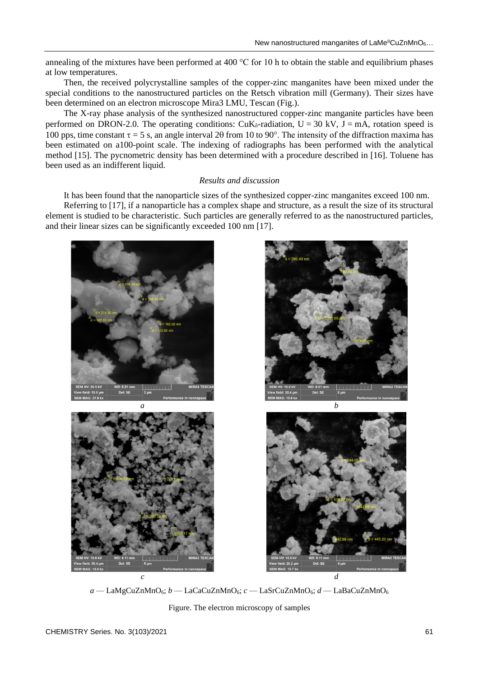annealing of the mixtures have been performed at 400 °C for 10 h to obtain the stable and equilibrium phases at low temperatures.

Then, the received polycrystalline samples of the copper-zinc manganites have been mixed under the special conditions to the nanostructured particles on the Retsch vibration mill (Germany). Their sizes have been determined on an electron microscope Mira3 LMU, Tescan (Fig.).

The X-ray phase analysis of the synthesized nanostructured copper-zinc manganite particles have been performed on DRON-2.0. The operating conditions:  $CuK_{\delta}$ -radiation,  $U = 30$  kV,  $J = mA$ , rotation speed is 100 pps, time constant  $\tau = 5$  s, an angle interval 20 from 10 to 90°. The intensity of the diffraction maxima has been estimated on a100-point scale. The indexing of radiographs has been performed with the analytical method [15]. The pycnometric density has been determined with a procedure described in [16]. Toluene has been used as an indifferent liquid.

#### *Results and discussion*

It has been found that the nanoparticle sizes of the synthesized copper-zinc manganites exceed 100 nm. Referring to [17], if a nanoparticle has a complex shape and structure, as a result the size of its structural element is studied to be characteristic. Such particles are generally referred to as the nanostructured particles, and their linear sizes can be significantly exceeded 100 nm [17].









*a* — LaMgCuZnMnO6; *b* — LaCaCuZnMnO6; *c* — LaSrCuZnMnO6; *d* — LaBaCuZnMnO<sup>6</sup>

Figure. The electron microscopy of samples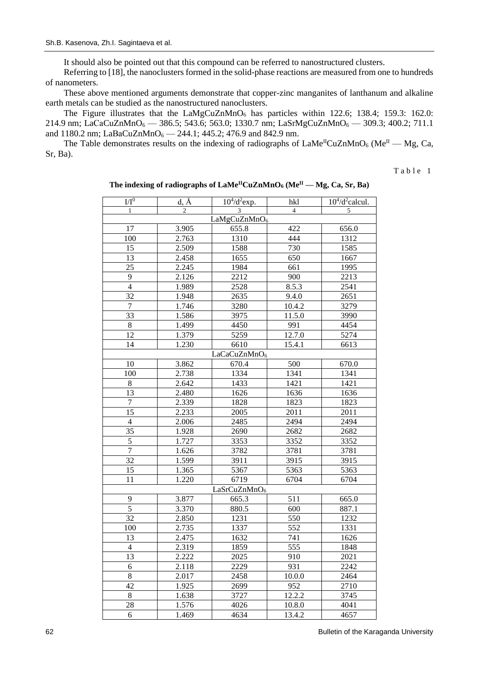It should also be pointed out that this compound can be referred to nanostructured clusters.

Referring to [18], the nanoclusters formed in the solid-phase reactions are measured from one to hundreds of nanometers.

These above mentioned arguments demonstrate that copper-zinc manganites of lanthanum and alkaline earth metals can be studied as the nanostructured nanoclusters.

The Figure illustrates that the  $LaMgCuZnMnO<sub>6</sub>$  has particles within 122.6; 138.4; 159.3: 162.0: 214.9 nm; LaCaCuZnMnO<sub>6</sub> — 386.5; 543.6; 563.0; 1330.7 nm; LaSrMgCuZnMnO<sub>6</sub> — 309.3; 400.2; 711.1 and 1180.2 nm; LaBaCuZnMnO<sub>6</sub> - 244.1; 445.2; 476.9 and 842.9 nm.

The Table demonstrates results on the indexing of radiographs of  $\text{LaMe}^{\text{II}}\text{CuZnMnO}_6$  (Me<sup>II</sup> — Mg, Ca, Sr, Ba).

Table 1

| I/I <sup>0</sup>         | $d, \AA$       | $10^{4}/d^{2}$ exp. | hkl            | $\overline{10^4}$ /d <sup>2</sup> calcul. |  |  |  |
|--------------------------|----------------|---------------------|----------------|-------------------------------------------|--|--|--|
| 1                        | $\overline{c}$ | 3                   | $\overline{4}$ | 5                                         |  |  |  |
| LaMgCuZnMnO <sub>6</sub> |                |                     |                |                                           |  |  |  |
| 17                       | 3.905          | 655.8               | 422            | 656.0                                     |  |  |  |
| 100                      | 2.763          | 1310                | 444            | 1312                                      |  |  |  |
| 15                       | 2.509          | 1588                | 730            | 1585                                      |  |  |  |
| 13                       | 2.458          | 1655                | 650            | 1667                                      |  |  |  |
| 25                       | 2.245          | 1984                | 661            | 1995                                      |  |  |  |
| 9                        | 2.126          | 2212                | 900            | 2213                                      |  |  |  |
| $\overline{4}$           | 1.989          | 2528                | 8.5.3          | 2541                                      |  |  |  |
| 32                       | 1.948          | 2635                | 9.4.0          | 2651                                      |  |  |  |
| $\overline{7}$           | 1.746          | 3280                | 10.4.2         | 3279                                      |  |  |  |
| 33                       | 1.586          | 3975                | 11.5.0         | 3990                                      |  |  |  |
| 8                        | 1.499          | 4450                | 991            | 4454                                      |  |  |  |
| 12                       | 1.379          | 5259                | 12.7.0         | 5274                                      |  |  |  |
| 14                       | 1.230          | 6610                | 15.4.1         | 6613                                      |  |  |  |
| LaCaCuZnMnO <sub>6</sub> |                |                     |                |                                           |  |  |  |
| 10                       | 3.862          | 670.4               | 500            | 670.0                                     |  |  |  |
| 100                      | 2.738          | 1334                | 1341           | 1341                                      |  |  |  |
| 8                        | 2.642          | 1433                | 1421           | 1421                                      |  |  |  |
| 13                       | 2.480          | 1626                | 1636           | 1636                                      |  |  |  |
| $\boldsymbol{7}$         | 2.339          | 1828                | 1823           | 1823                                      |  |  |  |
| 15                       | 2.233          | 2005                | 2011           | 2011                                      |  |  |  |
| $\overline{4}$           | 2.006          | 2485                | 2494           | 2494                                      |  |  |  |
| 35                       | 1.928          | 2690                | 2682           | 2682                                      |  |  |  |
| 5                        | 1.727          | 3353                | 3352           | 3352                                      |  |  |  |
| $\overline{7}$           | 1.626          | 3782                | 3781           | 3781                                      |  |  |  |
| 32                       | 1.599          | 3911                | 3915           | 3915                                      |  |  |  |
| 15                       | 1.365          | 5367                | 5363           | 5363                                      |  |  |  |
| 11                       | 1.220          | 6719                | 6704           | 6704                                      |  |  |  |
| LaSrCuZnMnO <sub>6</sub> |                |                     |                |                                           |  |  |  |
| 9                        | 3.877          | 665.3               | 511            | 665.0                                     |  |  |  |
| 5                        | 3.370          | 880.5               | 600            | 887.1                                     |  |  |  |
| 32                       | 2.850          | 1231                | 550            | 1232                                      |  |  |  |
| 100                      | 2.735          | 1337                | 552            | 1331                                      |  |  |  |
| 13                       | 2.475          | 1632                | 741            | 1626                                      |  |  |  |
| $\overline{4}$           | 2.319          | 1859                | 555            | 1848                                      |  |  |  |
| 13                       | 2.222          | 2025                | 910            | 2021                                      |  |  |  |
| 6                        | 2.118          | 2229                | 931            | 2242                                      |  |  |  |
| 8                        | 2.017          | 2458                | 10.0.0         | 2464                                      |  |  |  |
| 42                       | 1.925          | 2699                | 952            | 2710                                      |  |  |  |
| 8                        | 1.638          | 3727                | 12.2.2         | 3745                                      |  |  |  |
| 28                       | 1.576          | 4026                | 10.8.0         | 4041                                      |  |  |  |
| 6                        | 1.469          | 4634                | 13.4.2         | 4657                                      |  |  |  |
|                          |                |                     |                |                                           |  |  |  |

**The indexing of radiographs of LaMeIICuZnMnO<sup>6</sup> (MeII — Mg, Ca, Sr, Ba)**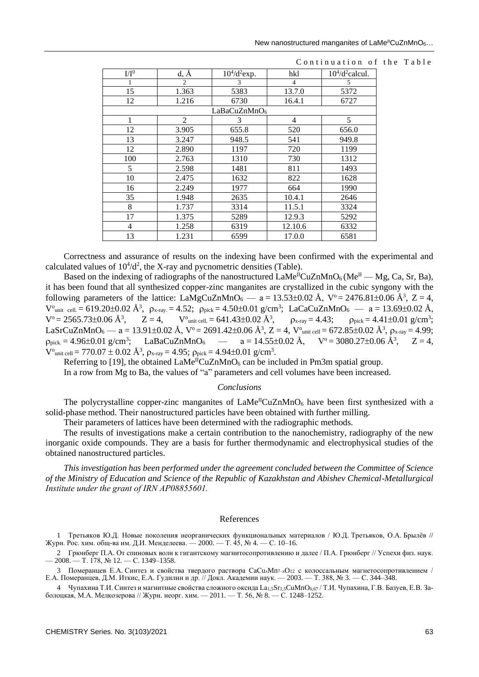| $I/I^0$                  | $d, \overline{A}$ | $10^{4}/d^{2}$ exp. | hkl            | $104/d2$ calcul. |  |  |  |
|--------------------------|-------------------|---------------------|----------------|------------------|--|--|--|
|                          | $\overline{2}$    | 3                   | $\overline{4}$ | 5                |  |  |  |
| 15                       | 1.363             | 5383                | 13.7.0         | 5372             |  |  |  |
| 12                       | 1.216             | 6730                | 16.4.1         | 6727             |  |  |  |
| LaBaCuZnMnO <sub>6</sub> |                   |                     |                |                  |  |  |  |
| 1                        | 2                 | 3                   | 4              | 5                |  |  |  |
| 12                       | 3.905             | 655.8               | 520            | 656.0            |  |  |  |
| 13                       | 3.247             | 948.5               | 541            | 949.8            |  |  |  |
| 12                       | 2.890             | 1197                | 720            | 1199             |  |  |  |
| 100                      | 2.763             | 1310                | 730            | 1312             |  |  |  |
| 5                        | 2.598             | 1481                | 811            | 1493             |  |  |  |
| 10                       | 2.475             | 1632                | 822            | 1628             |  |  |  |
| 16                       | 2.249             | 1977                | 664            | 1990             |  |  |  |
| 35                       | 1.948             | 2635                | 10.4.1         | 2646             |  |  |  |
| 8                        | 1.737             | 3314                | 11.5.1         | 3324             |  |  |  |
| 17                       | 1.375             | 5289                | 12.9.3         | 5292             |  |  |  |
| 4                        | 1.258             | 6319                | 12.10.6        | 6332             |  |  |  |
| 13                       | 1.231             | 6599                | 17.0.0         | 6581             |  |  |  |

#### Continuation of the Table

Correctness and assurance of results on the indexing have been confirmed with the experimental and calculated values of  $10^4/d^2$ , the X-ray and pycnometric densities (Table).

Based on the indexing of radiographs of the nanostructured  $\text{LaMe}^{\text{II}}\text{CuZnMnO}_6(\text{Me}^{\text{II}} - \text{Mg}, \text{Ca}, \text{Sr}, \text{Ba})$ , it has been found that all synthesized copper-zinc manganites are crystallized in the cubic syngony with the following parameters of the lattice: LaMgCuZnMnO<sub>6</sub> — a = 13.53±0.02 Å,  $V^{\circ}$  = 2476.81±0.06 Å<sup>3</sup>, Z = 4,  $V_{\text{unit cell}} = 619.20 \pm 0.02 \text{ Å}^3$ ,  $\rho_{x-ray} = 4.52$ ;  $\rho_{pick} = 4.50 \pm 0.01 \text{ g/cm}^3$ ; LaCaCuZnMnO<sub>6</sub> — a = 13.69 $\pm$ 0.02 Å,  $V^{\circ} = 2565.73 \pm 0.06 \text{ Å}^{3}$ ,  $Z = 4$ ,  $V^{\circ}$  $V^{\text{o}}_{\text{unit cell.}} = 641.43 \pm 0.02 \text{ Å}^3,$  $\rho_{x-ray} = 4.43; \rho_{pick} = 4.41 \pm 0.01 \text{ g/cm}^3;$ LaSrCuZnMnO<sub>6</sub> — a = 13.91±0.02 Å, V° = 2691.42±0.06 Å<sup>3</sup>, Z = 4, V°<sub>unit cell</sub> = 672.85±0.02 Å<sup>3</sup>,  $\rho_{x-ray}$  = 4.99;  $\rho_{pick} = 4.96 \pm 0.01$  g/cm<sup>3</sup>; LaBaCuZnMnO<sub>6</sub> — a = 14.55 $\pm$ 0.02 Å, V° = 3080.27 $\pm$ 0.06 Å<sup>3</sup>, Z = 4,  $V_{\text{unit cell}} = 770.07 \pm 0.02 \text{ Å}^3$ ,  $\rho_{x-ray} = 4.95$ ;  $\rho_{pick} = 4.94 \pm 0.01 \text{ g/cm}^3$ .

Referring to [19], the obtained  $\text{LaMe}^{\text{II}}\text{CuZnMnO}_6$  can be included in Pm3m spatial group.

In a row from Mg to Ba, the values of "a" parameters and cell volumes have been increased.

#### *Conclusions*

The polycrystalline copper-zinc manganites of  $\text{LaMe}^{\text{II}}\text{CuZnMnO}_6$  have been first synthesized with a solid-phase method. Their nanostructured particles have been obtained with further milling.

Their parameters of lattices have been determined with the radiographic methods.

The results of investigations make a certain contribution to the nanochemistry, radiography of the new inorganic oxide compounds. They are a basis for further thermodynamic and electrophysical studies of the obtained nanostructured particles.

*This investigation has been performed under the agreement concluded between the Committee of Science of the Ministry of Education and Science of the Republic of Kazakhstan and Abishev Chemical-Metallurgical Institute under the grant of IRN АР08855601.*

#### References

1 Третьяков Ю.Д. Новые поколения неорганических функциональных материалов / Ю.Д. Третьяков, О.А. Брылёв // Журн. Рос. хим. общ-ва им. Д.И. Менделеева. — 2000. — Т. 45, № 4. — С. 10–16.

2 Грюнберг П.А. От спиновых волн к гигантскому магнитосопротивлению и далее / П.А. Грюнберг // Успехи физ. наук. — 2008. — Т. 178, № 12. — С. 1349–1358.

3 Померанцев Е.А. Синтез и свойства твердого раствора CaCu*x*Mn7–*x*O<sup>12</sup> c колоссальным магнетосопротивлением / Е.А. Померанцев, Д.М. Иткис, Е.А. Гудилин и др. // Докл. Академии наук. — 2003. — Т. 388, № 3. — С. 344–348.

4 Чупахина Т.И. Синтез и магнитные свойства сложного оксида La<sub>1,5</sub>Sr<sub>1,5</sub>CuMnO<sub>6,67</sub> / Т.И. Чупахина, Г.В. Базуев, Е.В. Заболоцкая, М.А. Мелкозерова // Журн. неорг. хим. — 2011. — Т. 56, № 8. — С. 1248–1252.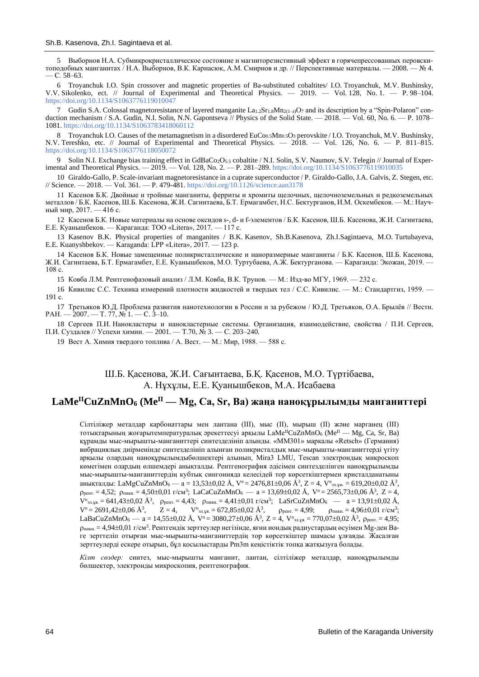5 Выборнов Н.А. Субмикрокристаллическое состояние и магниторезистивный эффект в горячепрессованных перовскитоподобных манганитах / Н.А. Выборнов, В.К. Карнасюк, А.М. Смирнов и др. // Перспективные материалы. — 2008. — № 4. — С. 58–63.

6 Troyanchuk I.O. Spin crossover and magnetic properties of Ba-substituted cobaltites/ I.O. Troyanchuk, M.V. Bushinsky, V.V. Sikolenko, ect. // Journal of Experimental and Theoretical Physics. — 2019. — Vol. 128, No. 1. — P. 98–104. <https://doi.org/10.1134/S1063776119010047>

7 Gudin S.A. Colossal magnetoresistance of layered manganite  $L_{a_{1,2}}Sr_{1,8}Mn_{2(1-z)}O_7$  and its description by a "Spin-Polaron" conduction mechanism / S.A. Gudin, N.I. Solin, N.N. Gapontseva // Physics of the Solid State. — 2018. — Vol. 60, No. 6. — P. 1078– 1081[. https://doi.org/10.1134/S1063783418060112](https://doi.org/10.1134/S1063783418060112)

8 Troyanchuk I.O. Causes of the metamagnetism in a disordered EuCo<sub>0.5</sub>Mn<sub>0.5</sub>O<sub>3</sub> perovskite / I.O. Troyanchuk, M.V. Bushinsky, N.V. Tereshko, etc. // Journal of Experimental and Theoretical Physics. — 2018. — Vol. 126, No. 6. — P. 811–815. <https://doi.org/10.1134/S1063776118050072>

9 Solin N.I. Exchange bias training effect in GdBaCo<sub>2</sub>O<sub>5.5</sub> cobaltite / N.I. Solin, S.V. Naumov, S.V. Telegin // Journal of Experimental and Theoretical Physics. — 2019. — Vol. 128, No. 2. — P. 281–289[. https://doi.org/10.1134/S1063776119010035](https://doi.org/10.1134/S1063776119010035)

10 Giraldo-Gallo, P. Scale-invariant magnetoresistance in a cuprate superconductor / P. Giraldo-Gallo, J.A. Galvis, Z. Stegen, etc. // Science. — 2018. — Vol. 361. — P. 479-481[. https://doi.org/10.1126/science.aan3178](https://doi.org/10.1126/science.aan3178)

11 Касенов Б.К. Двойные и тройные манганиты, ферриты и хромиты щелочных, щелочноземельных и редкоземельных металлов / Б.К. Касенов, Ш.Б. Касенова, Ж.И. Сагинтаева, Б.Т. Ермагамбет, Н.С. Бектурганов, И.М. Оскембеков. — М.: Научный мир, 2017. — 416 с.

12 Касенов Б.К. Новые материалы на основе оксидов s-, d- и f-элементов / Б.К. Касенов, Ш.Б. Касенова, Ж.И. Сагинтаева, Е.Е. Куанышбеков. — Караганда: ТОО «Litera», 2017. — 117 с.

13 Kasenov B.K. Physical properties of manganites / B.K. Kasenov, Sh.B.Kasenova, Zh.I.Sagintaeva, M.O. Turtubayeva, E.E. Kuanyshbekov. — Karaganda: LPP «Litera», 2017. — 123 p.

14 Касенов Б.К. Новые замещенные поликристаллические и наноразмерные манганиты / Б.К. Касенов, Ш.Б. Касенова, Ж.И. Сагинтаева, Б.Т. Ермагамбет, Е.Е. Куанышбеков, М.О. Туртубаева, А.Ж. Бектурганова. — Караганда: Экожан, 2019. — 108 с.

15 Ковба Л.М. Рентгенофазовый анализ / Л.М. Ковба, В.К. Трунов. — М.: Изд-во МГУ, 1969. — 232 с.

16 Кивилис С.С. Техника измерений плотности жидкостей и твердых тел / С.С. Кивилис. — М.: Стандартгиз, 1959. — 191 с.

17 Третьяков Ю.Д. Проблема развития нанотехнологии в России и за рубежом / Ю.Д. Третьяков, О.А. Брылёв // Вестн.  $PAH. - 2007. - T. 77, N<sub>2</sub>1. - C. 3-10.$ 

18 Сергеев П.И. Нанокластеры и нанокластерные системы. Организация, взаимодействие, свойства / П.И. Сергеев, П.И. Суздалев // Успехи химии. — 2001. — Т.70, № 3. — С. 203–240.

19 Вест А. Химия твердого топлива / А. Вест. — М.: Мир, 1988. — 588 с.

Ш.Б. Қасенова, Ж.И. Сағынтаева, Б.Қ. Қасенов, М.О. Түртібаева, А. Нұхұлы, Е.Е. Қуанышбеков, М.А. Исабаева

# **LaMeIICuZnMnO<sup>6</sup> (MeII — Mg, Ca, Sr, Ba) жаңа наноқұрылымды манганиттері**

Сілтіліжер металдар карбонаттары мен лантана (III), мыс (II), мырыш (II) және марганец (III) тотықтарының жоғарытемпературалық әрекеттесуі арқылы LaMe<sup>II</sup>CuZnMnO<sub>6</sub> (Me<sup>II</sup> — Mg, Ca, Sr, Ba) құрамды мыс-мырышты-манганиттері синтезделініп алынды. «ММ301» маркалы «Retsch» (Германия) вибрациялық диірменінде синтезделініп алынған поликристалдық мыс-мырышты-манганиттерді үгіту арқылы олардың наноқұрылымдыбөлшектері алынып, Mira3 LMU, Tescan электрондық микроскоп көмегімен олардың өлшемдері анықталды. Рентгенография әдісімен синтезделінген наноқұрылымды мыс-мырышты-манганиттердің кубтық сингонияда келесідей тор көрсеткіштермен кристалданатыны анықталды: LaMgCuZnMnO $_6$  — а = 13,53±0,02 Å, V° = 2476,81±0,06 Å $^3$ , Z = 4, V° $_{\rm 911,24}$ . = 619,20±0,02 Å $^3$ ,  $\rho_{\text{perr}} = 4{,}52; \rho_{\text{mark}} = 4{,}50{\pm}0{,}01 \text{ r/cm}^3; \text{ LaCaCuZnMnO6} \longrightarrow a = 13{,}69{\pm}0{,}02 \text{ Å}, \text{ V}^{\circ} = 2565{,}73{\pm}0{,}06 \text{ Å}^3, \text{ Z} = 4,$  $V^{\circ}_{\text{3D,YA}} = 641,43\pm0,02 \text{ Å}^3$ ,  $\rho_{\text{pert.}} = 4,43;$   $\rho_{\text{mKRL}} = 4,41\pm0,01 \text{ r/cm}^3$ ;  $\text{LaSrCuZnMnO}_6 \rightarrow a = 13,91\pm0,02 \text{ Å}$ ,  $V^{\circ} = 2691,42\pm0,06$  Å<sup>3</sup>, ,  $Z = 4$ ,  $V^{\circ}$ <sub>эл.ұя</sub>.  $= 672,85 \pm 0,02$  Å<sup>3</sup>  $\rho_{\text{pert.}} = 4.99; \qquad \rho_{\text{mukh.}} = 4.96 \pm 0.01 \text{ r/cm}^3;$ LaBaCuZnMnO<sub>6</sub> — a = 14,55±0,02 Å, V° = 3080,27±0,06 Å<sup>3</sup>, Z = 4, V°<sub>30,48</sub> = 770,07±0,02 Å<sup>3</sup>, p<sub>peнт.</sub> = 4,95;  $\rho_{\rm{intra.}}$  = 4,94±0,01 г/см<sup>3</sup>. Рентгендік зерттеулер негізінде, яғни иондық радиустардың өсуімен Mg-ден Baге зерттеліп отырған мыс-мырышты-манганиттердің тор көрсеткіштер шамасы ұлғаяды. Жасалған зерттеулерді ескере отырып, бұл қосылыстарды Pm3m кеңістіктік топқа жатқызуға болады.

*Кілт сөздер:* синтез, мыс-мырышты манганит, лантан, сілтіліжер металдар, наноқұрылымды бөлшектер, электронды микроскопия, рентгенография.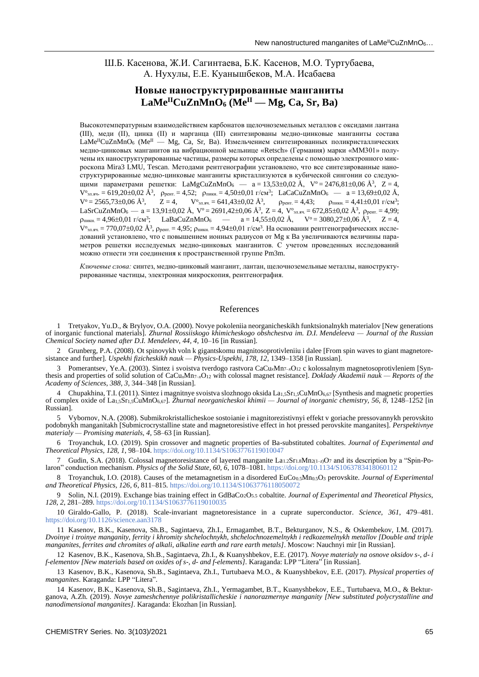### Ш.Б. Касенова, Ж.И. Сагинтаева, Б.К. Касенов, М.О. Туртубаева, А. Нухулы, Е.Е. Куанышбеков, М.А. Исабаева

## **Новые наноструктурированные манганиты**   $\text{LaMe}^{\text{II}}\text{CuZnMnO}_6$  (Me<sup>II</sup> — Mg, Ca, Sr, Ba)

Высокотемпературным взаимодействием карбонатов щелочноземельных металлов с оксидами лантана (III), меди (II), цинка (II) и марганца (III) синтезированы медно-цинковые манганиты состава  $\text{LaMe}^{\text{II}}$ CuZnMnO<sub>6</sub> (Me<sup>II</sup> — Mg, Ca, Sr, Ba). Измельчением синтезированных поликристаллических медно-цинковых манганитов на вибрационной мельнице «Retsch» (Германия) марки «ММ301» получены их наноструктурированные частицы, размеры которых определены с помощью электронного микроскопа Mira3 LMU, Tescan. Методами рентгенографии установлено, что все синтезированные наноструктурированные медно-цинковые манганиты кристаллизуются в кубической сингонии со следующими параметрами решетки: LaMgCuZnMnO<sub>6</sub> —  $a = 13,53\pm0,02$  Å,  $V^{\circ} = 2476,81\pm0,06$  Å<sup>3</sup>, Z = 4,  $V^{\circ}$ <sub>2л.яч</sub>. = 619,20±0,02 Å<sup>3</sup>, p<sub>pert.</sub> = 4,52; p<sub>mkH.</sub> = 4,50±0,01 г/см<sup>3</sup>; LaCaCuZnMnO<sub>6</sub> — a = 13,69±0,02 Å,  $V^{\circ} = 2565,73 \pm 0,06 \text{ Å}^3$ ,  $Z = 4$ ,  $V^{\circ}$  $V^{\circ}$ <sub>эл.яч.</sub> = 641,43±0,02 Å<sup>3</sup>,  $\rho_{\text{pert.}} = 4.43; \qquad \rho_{\text{mukh.}} = 4.41 \pm 0.01 \text{ r/cm}^3;$ LaSrCuZnMnO6 — а = 13,91±0,02 Å,  $V^{\rm o}$  = 2691,42±0,06 Å<sup>3</sup>, Z = 4,  $V^{\rm o}$ <sub>2л.яч.</sub> = 672,85±0,02 Å<sup>3</sup>,  $\rho_{\rm pert.}$  = 4,99;  $\rho_{\text{mし}} = 4.96 \pm 0.01 \text{ r/cm}^3$ ; LaBaCuZnMnO<sub>6</sub> — a = 14.55±0.02 Å, V° = 3080.27±0.06 Å<sup>3</sup>, Z = 4,  $\rm V^\circ$ эл.яч. = 770,07 $\pm$ 0,02 Å $^3$ , ррент. = 4,95; рпикн. = 4,94 $\pm$ 0,01 г/см $^3$ . На основании рентгенографических исследований установлено, что с повышением ионных радиусов от Mg к Ba увеличиваются величины параметров решетки исследуемых медно-цинковых манганитов. С учетом проведенных исследований можно отнести эти соединения к пространственной группе Pm3m.

*Ключевые слова:* синтез, медно-цинковый манганит, лантан, щелочноземельные металлы, наноструктурированные частицы, электронная микроскопия, рентгенография.

#### References

1 Tretyakov, Yu.D., & Brylyov, O.A. (2000). Novye pokoleniia neorganicheskikh funktsionalnykh materialov [New generations of inorganic functional materials]. *Zhurnal Rossiiskogo khimicheskogo obshchestva im. D.I. Mendeleeva — Journal of the Russian Chemical Society named after D.I. Mendeleev, 44, 4*, 10–16 [in Russian].

2 Grunberg, P.A. (2008). Ot spinovykh voln k gigantskomu magnitosoprotivleniiu i dalee [From spin waves to giant magnetoresistance and further]. *Uspekhi fizicheskikh nauk — Physics-Uspekhi, 178, 12*, 1349–1358 [in Russian].

3 Pomerantsev, Ye.A. (2003). Sintez i svoistva tverdogo rastvora CaCu*x*Mn7–*x*O<sup>12</sup> c kolossalnym magnetosoprotivleniem [Synthesis and properties of solid solution of CaCu*x*Mn7–*x*O<sup>12</sup> with colossal magnet resistance]. *Doklady Akademii nauk — Reports of the Academy of Sciences, 388, 3*, 344–348 [in Russian].

4 Chupakhina, T.I. (2011). Sintez i magnitnye svoistva slozhnogo oksida La<sub>1,5</sub>Sr<sub>1,5</sub>CuMnO<sub>6,67</sub> [Synthesis and magnetic properties of complex oxide of La1,5Sr1,5CuMnO6,67]. *Zhurnal neorganicheskoi khimii — Journal of inorganic chemistry, 56, 8*, 1248–1252 [in Russian].

5 Vybornov, N.A. (2008). Submikrokristallicheskoe sostoianie i magnitorezistivnyi effekt v goriache pressovannykh perovskito podobnykh manganitakh [Submicrocrystalline state and magnetoresistive effect in hot pressed perovskite manganites]. *Perspektivnye materialy — Promising materials, 4*, 58–63 [in Russian].

6 Troyanchuk, I.O. (2019). Spin crossover and magnetic properties of Ba-substituted cobaltites. *Journal of Experimental and Theoretical Physics, 128, 1*, 98–104.<https://doi.org/10.1134/S1063776119010047>

7 Gudin, S.A. (2018). Colossal magnetoresistance of layered manganite La1.2Sr1.8Mn2(1–*z*)O<sup>7</sup> and its description by a "Spin-Polaron" conduction mechanism. *Physics of the Solid State, 60, 6*, 1078–1081[. https://doi.org/10.1134/S1063783418060112](https://doi.org/10.1134/S1063783418060112)

8 Troyanchuk, I.O. (2018). Causes of the metamagnetism in a disordered EuCo<sub>0.5</sub>Mn<sub>0.5</sub>O<sub>3</sub> perovskite. *Journal of Experimental and Theoretical Physics, 126, 6*, 811–815.<https://doi.org/10.1134/S1063776118050072>

9 Solin, N.I. (2019). Exchange bias training effect in GdBaCo2O5.5 cobaltite. *Journal of Experimental and Theoretical Physics, 128, 2*, 281–289[. https://doi.org/10.1134/S1063776119010035](https://doi.org/10.1134/S1063776119010035)

10 Giraldo-Gallo, P. (2018). Scale-invariant magnetoresistance in a cuprate superconductor. *Science, 361*, 479–481. <https://doi.org/10.1126/science.aan3178>

11 Kasenov, B.K., Kasenova, Sh.B., Sagintaeva, Zh.I., Ermagambet, B.T., Bekturganov, N.S., & Oskembekov, I.M. (2017). *Dvoinye i troinye manganity, ferrity i khromity shchelochnykh, shchelochnozemelnykh i redkozemelnykh metallov [Double and triple manganites, ferrites and chromites of alkali, alkaline earth and rare earth metals]*. Moscow: Nauchnyi mir [in Russian].

12 Kasenov, B.K., Kasenova, Sh.B., Sagintaeva, Zh.I., & Kuanyshbekov, E.E. (2017). *Novye materialy na osnove oksidov s-, d- i f-elementov [New materials based on oxides of s-, d- and f-elements]*. Karaganda: LPP "Litera" [in Russian].

13 Kasenov, B.K., Kasenova, Sh.B., Sagintaeva, Zh.I., Turtubaeva M.O., & Kuanyshbekov, E.E. (2017). *Physical properties of manganites*. Karaganda: LPP "Litera".

14 Kasenov, B.K., Kasenova, Sh.B., Sagintaeva, Zh.I., Yermagambet, B.T., Kuanyshbekov, E.E., Turtubaeva, M.O., & Bekturganova, A.Zh. (2019). *Novye zameshchennye polikristallicheskie i nanorazmernye manganity [New substituted polycrystalline and nanodimensional manganites]*. Karaganda: Ekozhan [in Russian].